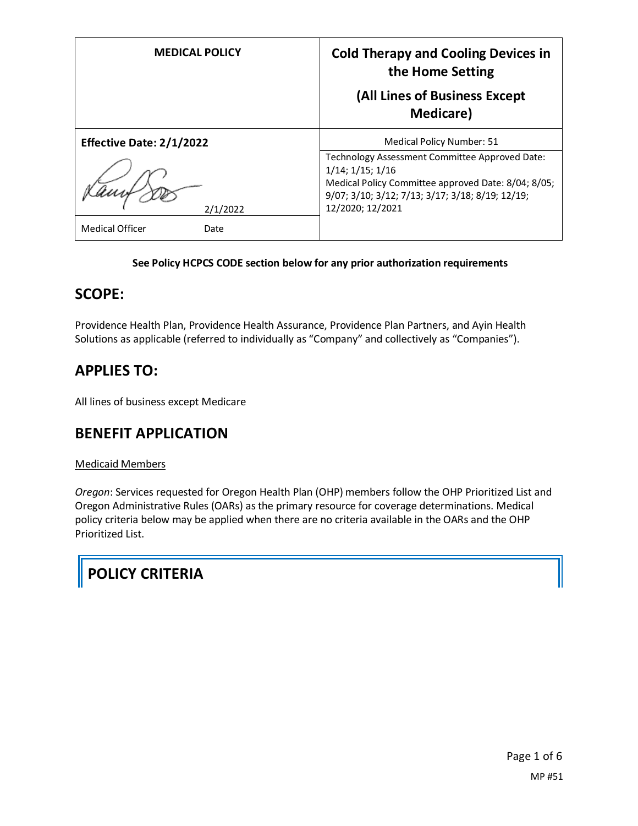| <b>MEDICAL POLICY</b>           | <b>Cold Therapy and Cooling Devices in</b><br>the Home Setting<br>(All Lines of Business Except<br><b>Medicare</b> )                                                                                      |
|---------------------------------|-----------------------------------------------------------------------------------------------------------------------------------------------------------------------------------------------------------|
| <b>Effective Date: 2/1/2022</b> | Medical Policy Number: 51                                                                                                                                                                                 |
| 2/1/2022                        | Technology Assessment Committee Approved Date:<br>$1/14$ ; $1/15$ ; $1/16$<br>Medical Policy Committee approved Date: 8/04; 8/05;<br>9/07; 3/10; 3/12; 7/13; 3/17; 3/18; 8/19; 12/19;<br>12/2020; 12/2021 |
| <b>Medical Officer</b><br>Date  |                                                                                                                                                                                                           |

#### **See Policy HCPCS CODE section below for any prior authorization requirements**

#### **SCOPE:**

Providence Health Plan, Providence Health Assurance, Providence Plan Partners, and Ayin Health Solutions as applicable (referred to individually as "Company" and collectively as "Companies").

# **APPLIES TO:**

All lines of business except Medicare

#### **BENEFIT APPLICATION**

#### Medicaid Members

*Oregon*: Services requested for Oregon Health Plan (OHP) members follow the OHP Prioritized List and Oregon Administrative Rules (OARs) as the primary resource for coverage determinations. Medical policy criteria below may be applied when there are no criteria available in the OARs and the OHP Prioritized List.

# **POLICY CRITERIA**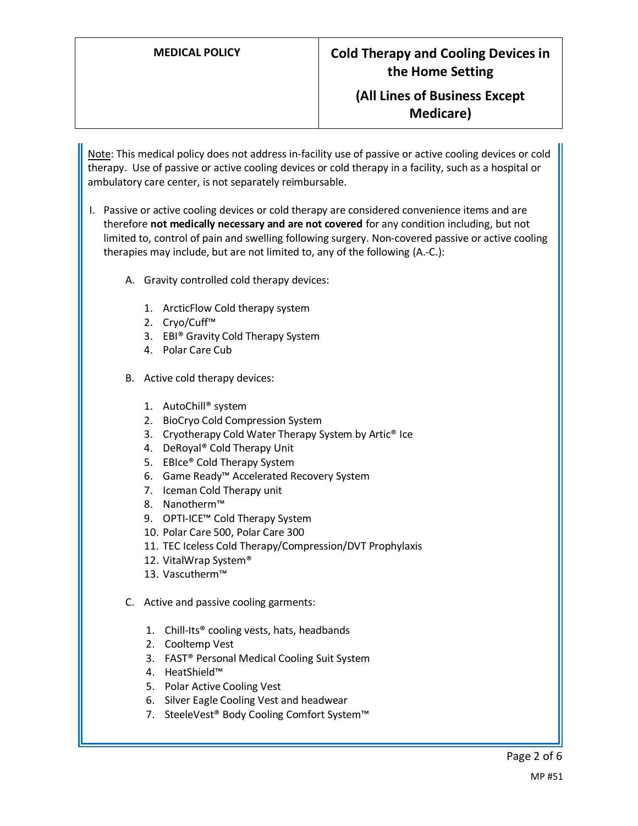#### **MEDICAL POLICY Cold Therapy and Cooling Devices in the Home Setting**

### **(All Lines of Business Except Medicare)**

Note: This medical policy does not address in-facility use of passive or active cooling devices or cold therapy. Use of passive or active cooling devices or cold therapy in a facility, such as a hospital or ambulatory care center, is not separately reimbursable.

- I. Passive or active cooling devices or cold therapy are considered convenience items and are therefore **not medically necessary and are not covered** for any condition including, but not limited to, control of pain and swelling following surgery. Non-covered passive or active cooling therapies may include, but are not limited to, any of the following (A.-C.):
	- A. Gravity controlled cold therapy devices:
		- 1. ArcticFlow Cold therapy system
		- 2. Cryo/Cuff™
		- 3. EBI® Gravity Cold Therapy System
		- 4. Polar Care Cub
	- B. Active cold therapy devices:
		- 1. AutoChill® system
		- 2. BioCryo Cold Compression System
		- 3. Cryotherapy Cold Water Therapy System by Artic® Ice
		- 4. DeRoyal® Cold Therapy Unit
		- 5. EBIce® Cold Therapy System
		- 6. Game Ready™ Accelerated Recovery System
		- 7. Iceman Cold Therapy unit
		- 8. Nanotherm™
		- 9. OPTI-ICE™ Cold Therapy System
		- 10. Polar Care 500, Polar Care 300
		- 11. TEC Iceless Cold Therapy/Compression/DVT Prophylaxis
		- 12. VitalWrap System®
		- 13. Vascutherm™
	- C. Active and passive cooling garments:
		- 1. Chill-Its® cooling vests, hats, headbands
		- 2. Cooltemp Vest
		- 3. FAST® Personal Medical Cooling Suit System
		- 4. HeatShield™
		- 5. Polar Active Cooling Vest
		- 6. Silver Eagle Cooling Vest and headwear
		- 7. SteeleVest® Body Cooling Comfort System™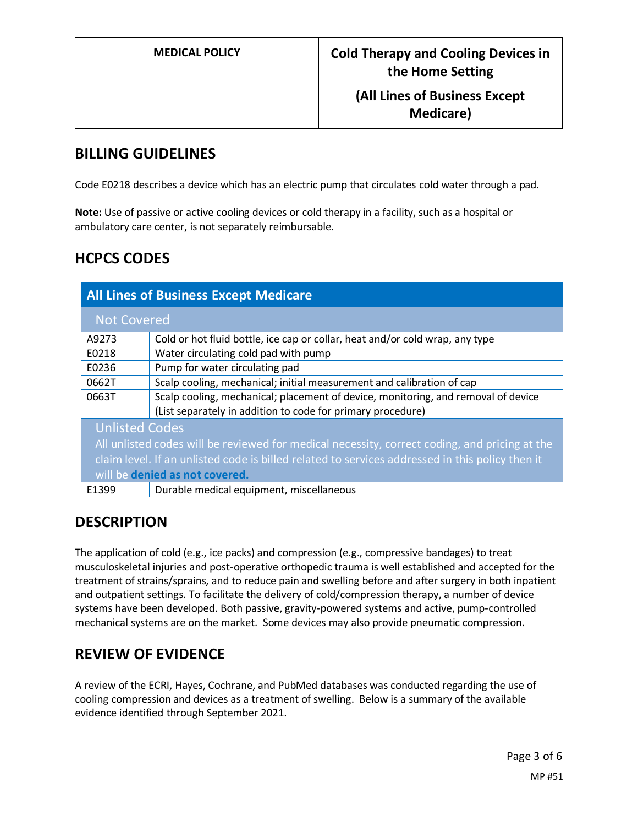### **(All Lines of Business Except Medicare)**

### **BILLING GUIDELINES**

Code E0218 describes a device which has an electric pump that circulates cold water through a pad.

**Note:** Use of passive or active cooling devices or cold therapy in a facility, such as a hospital or ambulatory care center, is not separately reimbursable.

# **HCPCS CODES**

| <b>All Lines of Business Except Medicare</b>                                                    |                                                                                                                                                  |
|-------------------------------------------------------------------------------------------------|--------------------------------------------------------------------------------------------------------------------------------------------------|
| <b>Not Covered</b>                                                                              |                                                                                                                                                  |
| A9273                                                                                           | Cold or hot fluid bottle, ice cap or collar, heat and/or cold wrap, any type                                                                     |
| E0218                                                                                           | Water circulating cold pad with pump                                                                                                             |
| E0236                                                                                           | Pump for water circulating pad                                                                                                                   |
| 0662T                                                                                           | Scalp cooling, mechanical; initial measurement and calibration of cap                                                                            |
| 0663T                                                                                           | Scalp cooling, mechanical; placement of device, monitoring, and removal of device<br>(List separately in addition to code for primary procedure) |
| <b>Unlisted Codes</b>                                                                           |                                                                                                                                                  |
| All unlisted codes will be reviewed for medical necessity, correct coding, and pricing at the   |                                                                                                                                                  |
| claim level. If an unlisted code is billed related to services addressed in this policy then it |                                                                                                                                                  |
| will be denied as not covered.                                                                  |                                                                                                                                                  |
| E1399                                                                                           | Durable medical equipment, miscellaneous                                                                                                         |

# **DESCRIPTION**

The application of cold (e.g., ice packs) and compression (e.g., compressive bandages) to treat musculoskeletal injuries and post-operative orthopedic trauma is well established and accepted for the treatment of strains/sprains, and to reduce pain and swelling before and after surgery in both inpatient and outpatient settings. To facilitate the delivery of cold/compression therapy, a number of device systems have been developed. Both passive, gravity-powered systems and active, pump-controlled mechanical systems are on the market. Some devices may also provide pneumatic compression.

# **REVIEW OF EVIDENCE**

A review of the ECRI, Hayes, Cochrane, and PubMed databases was conducted regarding the use of cooling compression and devices as a treatment of swelling. Below is a summary of the available evidence identified through September 2021.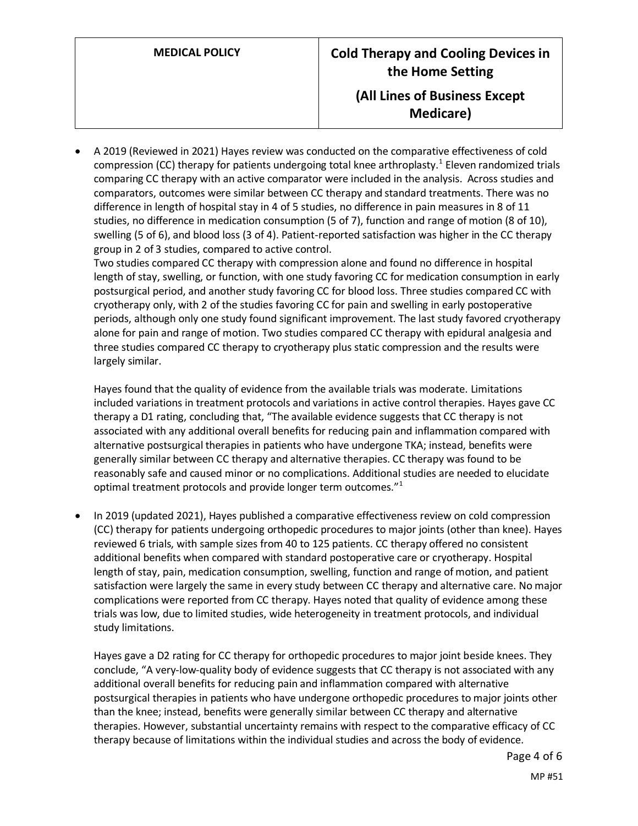• A 2019 (Reviewed in 2021) Hayes review was conducted on the comparative effectiveness of cold compression (CC) therapy for patients undergoing total knee arthroplasty.<sup>1</sup> Eleven randomized trials comparing CC therapy with an active comparator were included in the analysis. Across studies and comparators, outcomes were similar between CC therapy and standard treatments. There was no difference in length of hospital stay in 4 of 5 studies, no difference in pain measures in 8 of 11 studies, no difference in medication consumption (5 of 7), function and range of motion (8 of 10), swelling (5 of 6), and blood loss (3 of 4). Patient-reported satisfaction was higher in the CC therapy group in 2 of 3 studies, compared to active control.

Two studies compared CC therapy with compression alone and found no difference in hospital length of stay, swelling, or function, with one study favoring CC for medication consumption in early postsurgical period, and another study favoring CC for blood loss. Three studies compared CC with cryotherapy only, with 2 of the studies favoring CC for pain and swelling in early postoperative periods, although only one study found significant improvement. The last study favored cryotherapy alone for pain and range of motion. Two studies compared CC therapy with epidural analgesia and three studies compared CC therapy to cryotherapy plus static compression and the results were largely similar.

Hayes found that the quality of evidence from the available trials was moderate. Limitations included variations in treatment protocols and variations in active control therapies. Hayes gave CC therapy a D1 rating, concluding that, "The available evidence suggests that CC therapy is not associated with any additional overall benefits for reducing pain and inflammation compared with alternative postsurgical therapies in patients who have undergone TKA; instead, benefits were generally similar between CC therapy and alternative therapies. CC therapy was found to be reasonably safe and caused minor or no complications. Additional studies are needed to elucidate optimal treatment protocols and provide longer term outcomes."<sup>1</sup>

• In 2019 (updated 2021), Hayes published a comparative effectiveness review on cold compression (CC) therapy for patients undergoing orthopedic procedures to major joints (other than knee). Hayes reviewed 6 trials, with sample sizes from 40 to 125 patients. CC therapy offered no consistent additional benefits when compared with standard postoperative care or cryotherapy. Hospital length of stay, pain, medication consumption, swelling, function and range of motion, and patient satisfaction were largely the same in every study between CC therapy and alternative care. No major complications were reported from CC therapy. Hayes noted that quality of evidence among these trials was low, due to limited studies, wide heterogeneity in treatment protocols, and individual study limitations.

Hayes gave a D2 rating for CC therapy for orthopedic procedures to major joint beside knees. They conclude, "A very-low-quality body of evidence suggests that CC therapy is not associated with any additional overall benefits for reducing pain and inflammation compared with alternative postsurgical therapies in patients who have undergone orthopedic procedures to major joints other than the knee; instead, benefits were generally similar between CC therapy and alternative therapies. However, substantial uncertainty remains with respect to the comparative efficacy of CC therapy because of limitations within the individual studies and across the body of evidence.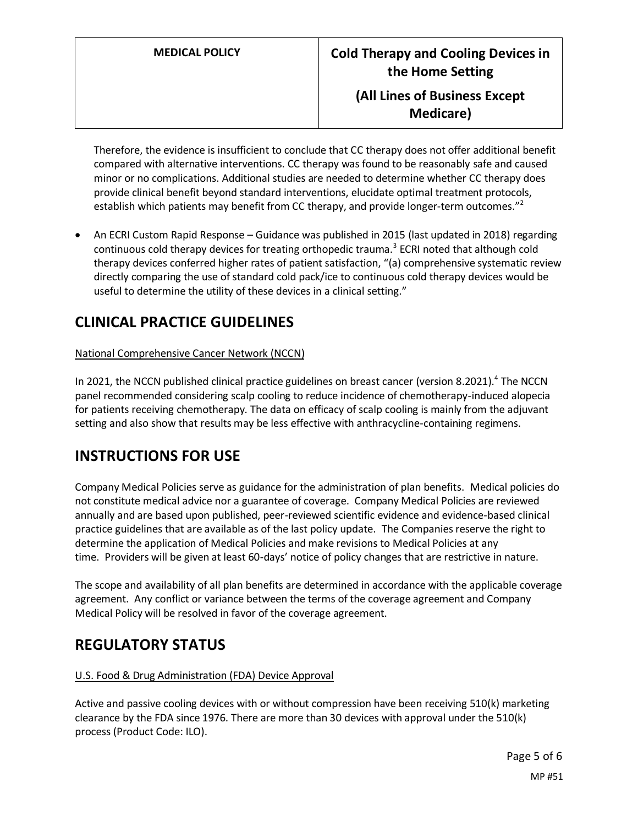Therefore, the evidence is insufficient to conclude that CC therapy does not offer additional benefit compared with alternative interventions. CC therapy was found to be reasonably safe and caused minor or no complications. Additional studies are needed to determine whether CC therapy does provide clinical benefit beyond standard interventions, elucidate optimal treatment protocols, establish which patients may benefit from CC therapy, and provide longer-term outcomes."<sup>2</sup>

• An ECRI Custom Rapid Response – Guidance was published in 2015 (last updated in 2018) regarding continuous cold therapy devices for treating orthopedic trauma.<sup>3</sup> ECRI noted that although cold therapy devices conferred higher rates of patient satisfaction, "(a) comprehensive systematic review directly comparing the use of standard cold pack/ice to continuous cold therapy devices would be useful to determine the utility of these devices in a clinical setting."

# **CLINICAL PRACTICE GUIDELINES**

#### National Comprehensive Cancer Network (NCCN)

In 2021, the NCCN published clinical practice guidelines on breast cancer (version 8.2021).<sup>4</sup> The NCCN panel recommended considering scalp cooling to reduce incidence of chemotherapy-induced alopecia for patients receiving chemotherapy. The data on efficacy of scalp cooling is mainly from the adjuvant setting and also show that results may be less effective with anthracycline-containing regimens.

# **INSTRUCTIONS FOR USE**

Company Medical Policies serve as guidance for the administration of plan benefits. Medical policies do not constitute medical advice nor a guarantee of coverage. Company Medical Policies are reviewed annually and are based upon published, peer-reviewed scientific evidence and evidence-based clinical practice guidelines that are available as of the last policy update. The Companies reserve the right to determine the application of Medical Policies and make revisions to Medical Policies at any time. Providers will be given at least 60-days' notice of policy changes that are restrictive in nature.

The scope and availability of all plan benefits are determined in accordance with the applicable coverage agreement. Any conflict or variance between the terms of the coverage agreement and Company Medical Policy will be resolved in favor of the coverage agreement.

# **REGULATORY STATUS**

#### U.S. Food & Drug Administration (FDA) Device Approval

Active and passive cooling devices with or without compression have been receiving 510(k) marketing clearance by the FDA since 1976. There are more than 30 devices with approval under the 510(k) process (Product Code: ILO).